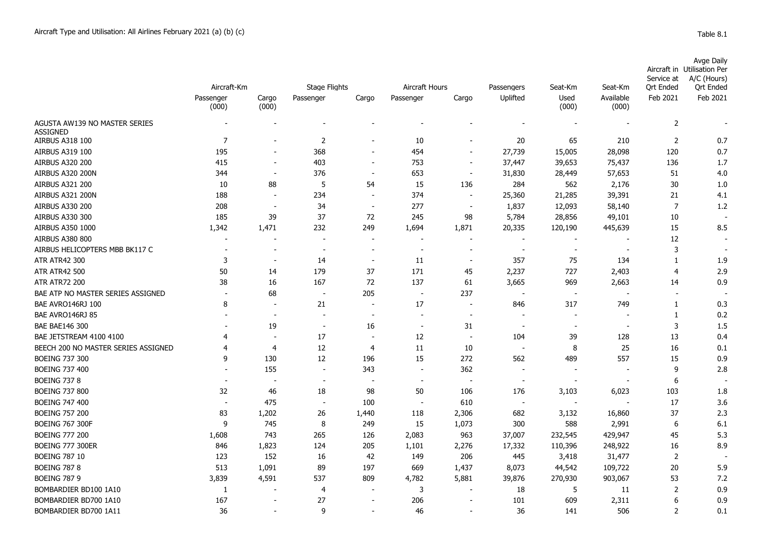|                                                  |                          |                          |                          |                          |                          |                          |                          |                          |                          | Service at       | <b>Avge Daily</b><br>Aircraft in Utilisation Per<br>A/C (Hours) |
|--------------------------------------------------|--------------------------|--------------------------|--------------------------|--------------------------|--------------------------|--------------------------|--------------------------|--------------------------|--------------------------|------------------|-----------------------------------------------------------------|
|                                                  | Aircraft-Km              |                          | <b>Stage Flights</b>     |                          | Aircraft Hours           |                          | Passengers               | Seat-Km                  | Seat-Km                  | <b>Ort Ended</b> | <b>Ort Ended</b>                                                |
|                                                  | Passenger<br>(000)       | Cargo<br>(000)           | Passenger                | Cargo                    | Passenger                | Cargo                    | Uplifted                 | Used<br>(000)            | Available<br>(000)       | Feb 2021         | Feb 2021                                                        |
| AGUSTA AW139 NO MASTER SERIES<br><b>ASSIGNED</b> |                          |                          |                          |                          |                          |                          |                          |                          |                          | $\overline{2}$   |                                                                 |
| <b>AIRBUS A318 100</b>                           | $\overline{7}$           |                          | 2                        |                          | 10                       | $\blacksquare$           | 20                       | 65                       | 210                      | 2                | 0.7                                                             |
| AIRBUS A319 100                                  | 195                      | $\overline{\phantom{a}}$ | 368                      | $\blacksquare$           | 454                      | $\blacksquare$           | 27,739                   | 15,005                   | 28,098                   | 120              | 0.7                                                             |
| <b>AIRBUS A320 200</b>                           | 415                      | $\overline{\phantom{a}}$ | 403                      | $\overline{\phantom{a}}$ | 753                      | $\overline{\phantom{a}}$ | 37,447                   | 39,653                   | 75,437                   | 136              | 1.7                                                             |
| AIRBUS A320 200N                                 | 344                      | $\overline{\phantom{a}}$ | 376                      | $\overline{\phantom{a}}$ | 653                      | $\overline{\phantom{a}}$ | 31,830                   | 28,449                   | 57,653                   | 51               | 4.0                                                             |
| <b>AIRBUS A321 200</b>                           | 10                       | 88                       | 5                        | 54                       | 15                       | 136                      | 284                      | 562                      | 2,176                    | 30               | 1.0                                                             |
| AIRBUS A321 200N                                 | 188                      | $\blacksquare$           | 234                      | $\overline{\phantom{a}}$ | 374                      | $\sim$                   | 25,360                   | 21,285                   | 39,391                   | 21               | 4.1                                                             |
| <b>AIRBUS A330 200</b>                           | 208                      | $\overline{a}$           | 34                       | $\overline{\phantom{a}}$ | 277                      | $\overline{\phantom{a}}$ | 1,837                    | 12,093                   | 58,140                   | $\overline{7}$   | 1.2                                                             |
| <b>AIRBUS A330 300</b>                           | 185                      | 39                       | 37                       | 72                       | 245                      | 98                       | 5,784                    | 28,856                   | 49,101                   | 10               |                                                                 |
| AIRBUS A350 1000                                 | 1,342                    | 1,471                    | 232                      | 249                      | 1,694                    | 1,871                    | 20,335                   | 120,190                  | 445,639                  | 15               | 8.5                                                             |
| <b>AIRBUS A380 800</b>                           | $\overline{\phantom{a}}$ | ÷.                       | $\blacksquare$           | $\overline{\phantom{a}}$ | ÷.                       | $\sim$                   | $\overline{\phantom{a}}$ | $\overline{a}$           |                          | 12               |                                                                 |
| AIRBUS HELICOPTERS MBB BK117 C                   | $\overline{\phantom{a}}$ | $\sim$                   | $\overline{a}$           | $\overline{\phantom{a}}$ | $\overline{a}$           | $\overline{\phantom{a}}$ | $\overline{\phantom{a}}$ | $\sim$                   | $\overline{\phantom{a}}$ | 3                | $\sim$                                                          |
| <b>ATR ATR42 300</b>                             | 3                        | $\overline{\phantom{a}}$ | 14                       | $\overline{\phantom{a}}$ | -11                      | $\overline{\phantom{a}}$ | 357                      | 75                       | 134                      | $\mathbf{1}$     | 1.9                                                             |
| <b>ATR ATR42 500</b>                             | 50                       | 14                       | 179                      | 37                       | 171                      | 45                       | 2,237                    | 727                      | 2,403                    | $\overline{4}$   | 2.9                                                             |
| <b>ATR ATR72 200</b>                             | 38                       | 16                       | 167                      | 72                       | 137                      | 61                       | 3,665                    | 969                      | 2,663                    | 14               | 0.9                                                             |
| BAE ATP NO MASTER SERIES ASSIGNED                |                          | 68                       | $\overline{\phantom{a}}$ | 205                      | $\overline{\phantom{a}}$ | 237                      |                          | $\overline{\phantom{a}}$ |                          | $\blacksquare$   |                                                                 |
| BAE AVRO146RJ 100                                | 8                        | $\overline{\phantom{a}}$ | 21                       | $\overline{\phantom{a}}$ | 17                       | $\overline{\phantom{a}}$ | 846                      | 317                      | 749                      | $\mathbf{1}$     | 0.3                                                             |
| BAE AVRO146RJ 85                                 |                          | $\blacksquare$           | $\overline{\phantom{a}}$ | $\overline{\phantom{a}}$ | $\blacksquare$           | $\overline{a}$           |                          | $\blacksquare$           |                          | $\mathbf{1}$     | 0.2                                                             |
| <b>BAE BAE146 300</b>                            |                          | 19                       | $\overline{\phantom{a}}$ | 16                       |                          | 31                       |                          |                          |                          | 3                | 1.5                                                             |
| BAE JETSTREAM 4100 4100                          | 4                        | ÷,                       | 17                       | $\overline{\phantom{a}}$ | 12                       | $\overline{\phantom{a}}$ | 104                      | 39                       | 128                      | 13               | 0.4                                                             |
| BEECH 200 NO MASTER SERIES ASSIGNED              | 4                        | $\overline{4}$           | 12                       | $\overline{4}$           | 11                       | 10                       | $\overline{\phantom{a}}$ | 8                        | 25                       | 16               | 0.1                                                             |
| <b>BOEING 737 300</b>                            | q                        | 130                      | 12                       | 196                      | 15                       | 272                      | 562                      | 489                      | 557                      | 15               | 0.9                                                             |
| <b>BOEING 737 400</b>                            |                          | 155                      | $\overline{a}$           | 343                      | ÷,                       | 362                      |                          | $\blacksquare$           |                          | 9                | 2.8                                                             |
| <b>BOEING 737 8</b>                              |                          | $\overline{\phantom{a}}$ | $\overline{\phantom{a}}$ | ٠                        | ÷,                       | $\overline{\phantom{a}}$ | $\overline{\phantom{a}}$ | $\sim$                   |                          | $6\phantom{1}6$  |                                                                 |
| <b>BOEING 737 800</b>                            | 32                       | 46                       | 18                       | 98                       | 50                       | 106                      | 176                      | 3,103                    | 6,023                    | 103              | 1.8                                                             |
| <b>BOEING 747 400</b>                            | ٠                        | 475                      | $\overline{a}$           | 100                      |                          | 610                      | $\overline{\phantom{a}}$ | $\overline{\phantom{a}}$ |                          | 17               | 3.6                                                             |
| <b>BOEING 757 200</b>                            | 83                       | 1,202                    | 26                       | 1,440                    | 118                      | 2,306                    | 682                      | 3,132                    | 16,860                   | 37               | 2.3                                                             |
| <b>BOEING 767 300F</b>                           | 9                        | 745                      | 8                        | 249                      | 15                       | 1,073                    | 300                      | 588                      | 2,991                    | 6                | 6.1                                                             |
| <b>BOEING 777 200</b>                            | 1,608                    | 743                      | 265                      | 126                      | 2,083                    | 963                      | 37,007                   | 232,545                  | 429,947                  | 45               | 5.3                                                             |
| <b>BOEING 777 300ER</b>                          | 846                      | 1,823                    | 124                      | 205                      | 1,101                    | 2,276                    | 17,332                   | 110,396                  | 248,922                  | 16               | 8.9                                                             |
| <b>BOEING 787 10</b>                             | 123                      | 152                      | 16                       | 42                       | 149                      | 206                      | 445                      | 3,418                    | 31,477                   | $\overline{2}$   |                                                                 |
| <b>BOEING 787 8</b>                              | 513                      | 1,091                    | 89                       | 197                      | 669                      | 1,437                    | 8,073                    | 44,542                   | 109,722                  | 20               | 5.9                                                             |
| <b>BOEING 787 9</b>                              | 3,839                    | 4,591                    | 537                      | 809                      | 4,782                    | 5,881                    | 39,876                   | 270,930                  | 903,067                  | 53               | 7.2                                                             |
| BOMBARDIER BD100 1A10                            | 1                        |                          | 4                        |                          | 3                        | $\overline{a}$           | 18                       | 5                        | 11                       | 2                | 0.9                                                             |
| BOMBARDIER BD700 1A10                            | 167                      | $\blacksquare$           | 27                       | $\overline{\phantom{a}}$ | 206                      | $\overline{\phantom{a}}$ | 101                      | 609                      | 2,311                    | 6                | 0.9                                                             |
| BOMBARDIER BD700 1A11                            | 36                       |                          | 9                        |                          | 46                       |                          | 36                       | 141                      | 506                      | $\overline{2}$   | 0.1                                                             |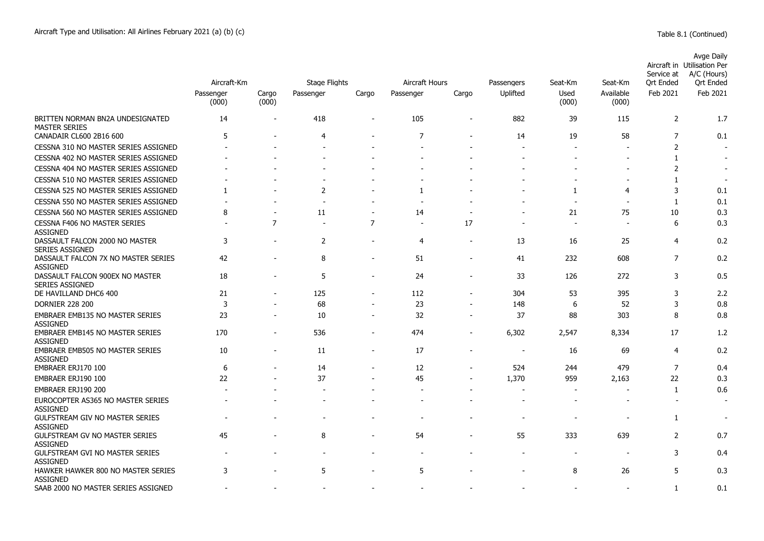|                                                           | Aircraft-Km        |                          | <b>Stage Flights</b> |                          | Aircraft Hours |                          | Passengers               | Seat-Km                  | Seat-Km                  | Service at<br>Ort Ended | Avge Daily<br>Aircraft in Utilisation Per<br>A/C (Hours)<br>Ort Ended |
|-----------------------------------------------------------|--------------------|--------------------------|----------------------|--------------------------|----------------|--------------------------|--------------------------|--------------------------|--------------------------|-------------------------|-----------------------------------------------------------------------|
|                                                           | Passenger<br>(000) | Cargo<br>(000)           | Passenger            | Cargo                    | Passenger      | Cargo                    | Uplifted                 | Used<br>(000)            | Available<br>(000)       | Feb 2021                | Feb 2021                                                              |
| BRITTEN NORMAN BN2A UNDESIGNATED<br><b>MASTER SERIES</b>  | 14                 |                          | 418                  | ÷                        | 105            | $\overline{\phantom{0}}$ | 882                      | 39                       | 115                      | $\overline{2}$          | 1.7                                                                   |
| CANADAIR CL600 2B16 600                                   | 5                  |                          | 4                    |                          | 7              | $\overline{\phantom{0}}$ | 14                       | 19                       | 58                       | 7                       | 0.1                                                                   |
| CESSNA 310 NO MASTER SERIES ASSIGNED                      |                    |                          |                      |                          |                |                          |                          |                          |                          | $\overline{2}$          |                                                                       |
| CESSNA 402 NO MASTER SERIES ASSIGNED                      |                    |                          |                      |                          |                |                          |                          |                          |                          | 1                       |                                                                       |
| CESSNA 404 NO MASTER SERIES ASSIGNED                      |                    |                          |                      |                          |                |                          |                          |                          |                          | $\overline{2}$          |                                                                       |
| CESSNA 510 NO MASTER SERIES ASSIGNED                      |                    |                          |                      |                          |                |                          |                          |                          | $\overline{\phantom{a}}$ | 1                       | $\overline{\phantom{a}}$                                              |
| CESSNA 525 NO MASTER SERIES ASSIGNED                      | $\mathbf{1}$       |                          | 2                    |                          | $\mathbf{1}$   |                          |                          | 1                        | $\overline{4}$           | 3                       | 0.1                                                                   |
| CESSNA 550 NO MASTER SERIES ASSIGNED                      |                    |                          | ٠                    |                          | ٠              |                          |                          | $\overline{\phantom{a}}$ |                          | 1                       | 0.1                                                                   |
| CESSNA 560 NO MASTER SERIES ASSIGNED                      | 8                  |                          | 11                   | $\overline{\phantom{a}}$ | 14             |                          |                          | 21                       | 75                       | 10                      | 0.3                                                                   |
| CESSNA F406 NO MASTER SERIES<br><b>ASSIGNED</b>           |                    | $\overline{7}$           |                      | $\overline{7}$           | ÷.             | 17                       |                          |                          |                          | 6                       | 0.3                                                                   |
| DASSAULT FALCON 2000 NO MASTER<br><b>SERIES ASSIGNED</b>  | 3                  |                          | 2                    | $\overline{\phantom{0}}$ | 4              | $\blacksquare$           | 13                       | 16                       | 25                       | 4                       | 0.2                                                                   |
| DASSAULT FALCON 7X NO MASTER SERIES<br><b>ASSIGNED</b>    | 42                 |                          | 8                    | $\blacksquare$           | 51             | $\blacksquare$           | 41                       | 232                      | 608                      | $\overline{7}$          | 0.2                                                                   |
| DASSAULT FALCON 900EX NO MASTER<br><b>SERIES ASSIGNED</b> | 18                 |                          | 5                    | $\overline{\phantom{a}}$ | 24             | ÷,                       | 33                       | 126                      | 272                      | 3                       | 0.5                                                                   |
| DE HAVILLAND DHC6 400                                     | 21                 |                          | 125                  | $\blacksquare$           | 112            |                          | 304                      | 53                       | 395                      | 3                       | 2.2                                                                   |
| <b>DORNIER 228 200</b>                                    | 3                  |                          | 68                   |                          | 23             | $\blacksquare$           | 148                      | 6                        | 52                       | 3                       | 0.8                                                                   |
| <b>EMBRAER EMB135 NO MASTER SERIES</b><br><b>ASSIGNED</b> | 23                 |                          | 10                   | $\overline{\phantom{a}}$ | 32             | $\overline{a}$           | 37                       | 88                       | 303                      | 8                       | 0.8                                                                   |
| <b>EMBRAER EMB145 NO MASTER SERIES</b><br><b>ASSIGNED</b> | 170                | $\overline{a}$           | 536                  | $\overline{a}$           | 474            |                          | 6,302                    | 2,547                    | 8,334                    | 17                      | 1.2                                                                   |
| <b>EMBRAER EMB505 NO MASTER SERIES</b><br><b>ASSIGNED</b> | 10                 | $\overline{\phantom{0}}$ | 11                   | $\overline{\phantom{a}}$ | 17             | $\overline{a}$           | $\overline{\phantom{a}}$ | 16                       | 69                       | $\overline{4}$          | 0.2                                                                   |
| EMBRAER ERJ170 100                                        | 6                  |                          | 14                   | $\blacksquare$           | 12             | $\blacksquare$           | 524                      | 244                      | 479                      | $\overline{7}$          | 0.4                                                                   |
| EMBRAER ERJ190 100                                        | 22                 |                          | 37                   |                          | 45             |                          | 1,370                    | 959                      | 2,163                    | 22                      | 0.3                                                                   |
| EMBRAER ERJ190 200                                        |                    |                          |                      |                          | ٠              |                          | $\overline{\phantom{a}}$ | $\overline{a}$           |                          | $\mathbf{1}$            | 0.6                                                                   |
| EUROCOPTER AS365 NO MASTER SERIES<br><b>ASSIGNED</b>      |                    |                          |                      |                          |                |                          |                          |                          |                          | $\blacksquare$          | $\overline{\phantom{a}}$                                              |
| <b>GULFSTREAM GIV NO MASTER SERIES</b><br><b>ASSIGNED</b> |                    |                          |                      |                          |                |                          |                          |                          |                          | $\mathbf{1}$            |                                                                       |
| <b>GULFSTREAM GV NO MASTER SERIES</b><br><b>ASSIGNED</b>  | 45                 |                          | 8                    |                          | 54             |                          | 55                       | 333                      | 639                      | 2                       | 0.7                                                                   |
| <b>GULFSTREAM GVI NO MASTER SERIES</b><br><b>ASSIGNED</b> |                    |                          |                      |                          |                |                          |                          |                          |                          | 3                       | 0.4                                                                   |
| HAWKER HAWKER 800 NO MASTER SERIES<br><b>ASSIGNED</b>     | 3                  |                          | 5                    |                          | 5              |                          |                          | 8                        | 26                       | 5                       | 0.3                                                                   |
| SAAB 2000 NO MASTER SERIES ASSIGNED                       |                    |                          |                      |                          |                |                          |                          |                          |                          | $\mathbf{1}$            | 0.1                                                                   |